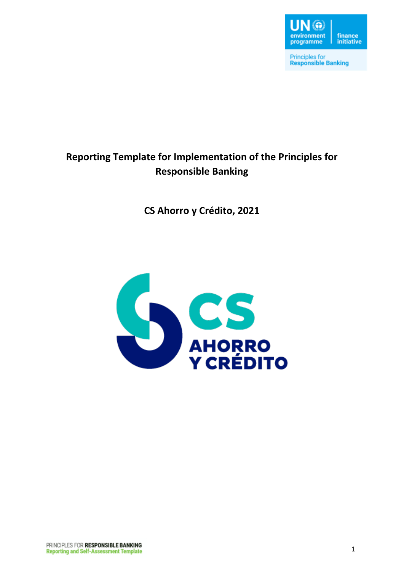

**Principles for<br>Responsible Banking** 

# **Reporting Template for Implementation of the Principles for Responsible Banking**

**CS Ahorro y Crédito, 2021**

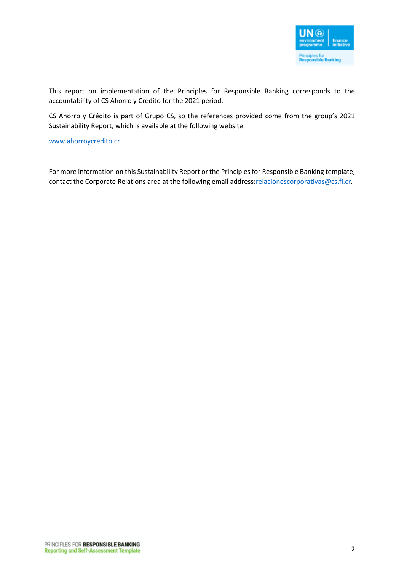

This report on implementation of the Principles for Responsible Banking corresponds to the accountability of CS Ahorro y Crédito for the 2021 period.

CS Ahorro y Crédito is part of Grupo CS, so the references provided come from the group's 2021 Sustainability Report, which is available at the following website:

[www.ahorroycredito.cr](http://www.ahorroycredito.cr/)

For more information on this Sustainability Report or the Principles for Responsible Banking template, contact the Corporate Relations area at the following email address: relacionescorporativas@cs.fi.cr.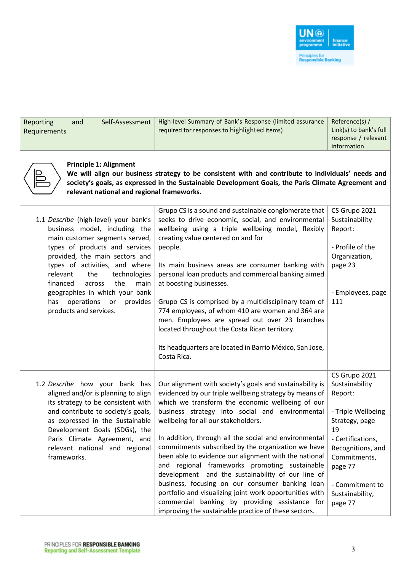

| Self-Assessment<br>Reporting<br>and<br>Requirements                                                                                                                                                                                                                                                                                                                                       | High-level Summary of Bank's Response (limited assurance<br>required for responses to highlighted items)                                                                                                                                                                                                                                                                                                                                                                                                                                                                                                                                                                                                                                                               | Reference(s) /<br>Link(s) to bank's full<br>response / relevant<br>information                                                                                                                                 |
|-------------------------------------------------------------------------------------------------------------------------------------------------------------------------------------------------------------------------------------------------------------------------------------------------------------------------------------------------------------------------------------------|------------------------------------------------------------------------------------------------------------------------------------------------------------------------------------------------------------------------------------------------------------------------------------------------------------------------------------------------------------------------------------------------------------------------------------------------------------------------------------------------------------------------------------------------------------------------------------------------------------------------------------------------------------------------------------------------------------------------------------------------------------------------|----------------------------------------------------------------------------------------------------------------------------------------------------------------------------------------------------------------|
| <b>Principle 1: Alignment</b><br>relevant national and regional frameworks.                                                                                                                                                                                                                                                                                                               | We will align our business strategy to be consistent with and contribute to individuals' needs and<br>society's goals, as expressed in the Sustainable Development Goals, the Paris Climate Agreement and                                                                                                                                                                                                                                                                                                                                                                                                                                                                                                                                                              |                                                                                                                                                                                                                |
| 1.1 Describe (high-level) your bank's<br>business model, including the<br>main customer segments served,<br>types of products and services<br>provided, the main sectors and<br>types of activities, and where<br>the<br>technologies<br>relevant<br>the<br>financed<br>main<br>across<br>geographies in which your bank<br>provides<br>has<br>operations<br>or<br>products and services. | Grupo CS is a sound and sustainable conglomerate that<br>seeks to drive economic, social, and environmental<br>wellbeing using a triple wellbeing model, flexibly<br>creating value centered on and for<br>people.<br>Its main business areas are consumer banking with<br>personal loan products and commercial banking aimed<br>at boosting businesses.<br>Grupo CS is comprised by a multidisciplinary team of<br>774 employees, of whom 410 are women and 364 are<br>men. Employees are spread out over 23 branches<br>located throughout the Costa Rican territory.<br>Its headquarters are located in Barrio México, San Jose,<br>Costa Rica.                                                                                                                    | CS Grupo 2021<br>Sustainability<br>Report:<br>- Profile of the<br>Organization,<br>page 23<br>- Employees, page<br>111                                                                                         |
| 1.2 Describe how your bank has<br>aligned and/or is planning to align<br>its strategy to be consistent with<br>and contribute to society's goals,<br>as expressed in the Sustainable<br>Development Goals (SDGs), the<br>Paris Climate Agreement, and<br>relevant national and regional<br>frameworks.                                                                                    | Our alignment with society's goals and sustainability is<br>evidenced by our triple wellbeing strategy by means of<br>which we transform the economic wellbeing of our<br>business strategy into social and environmental<br>wellbeing for all our stakeholders.<br>In addition, through all the social and environmental<br>commitments subscribed by the organization we have<br>been able to evidence our alignment with the national<br>and regional frameworks promoting sustainable<br>development and the sustainability of our line of<br>business, focusing on our consumer banking loan<br>portfolio and visualizing joint work opportunities with<br>commercial banking by providing assistance for<br>improving the sustainable practice of these sectors. | CS Grupo 2021<br>Sustainability<br>Report:<br>- Triple Wellbeing<br>Strategy, page<br>19<br>- Certifications,<br>Recognitions, and<br>Commitments,<br>page 77<br>- Commitment to<br>Sustainability,<br>page 77 |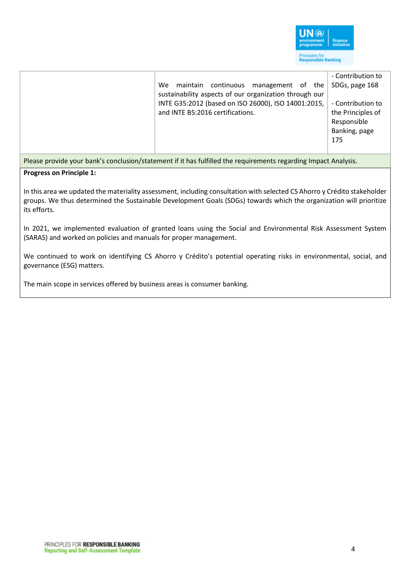

| $-1$ | $\mathbf{r}$ , and $\mathbf{r}$ , and $\mathbf{r}$ , and $\mathbf{r}$                                                                                                                               |                                                                                                                      |
|------|-----------------------------------------------------------------------------------------------------------------------------------------------------------------------------------------------------|----------------------------------------------------------------------------------------------------------------------|
|      | We<br>continuous management of the<br>maintain<br>sustainability aspects of our organization through our<br>INTE G35:2012 (based on ISO 26000), ISO 14001:2015,<br>and INTE B5:2016 certifications. | - Contribution to<br>SDGs, page 168<br>- Contribution to<br>the Principles of<br>Responsible<br>Banking, page<br>175 |

### Please provide your bank's conclusion/statement if it has fulfilled the requirements regarding Impact Analysis.

### **Progress on Principle 1:**

In this area we updated the materiality assessment, including consultation with selected CS Ahorro y Crédito stakeholder groups. We thus determined the Sustainable Development Goals (SDGs) towards which the organization will prioritize its efforts.

In 2021, we implemented evaluation of granted loans using the Social and Environmental Risk Assessment System (SARAS) and worked on policies and manuals for proper management.

We continued to work on identifying CS Ahorro y Crédito's potential operating risks in environmental, social, and governance (ESG) matters.

The main scope in services offered by business areas is consumer banking.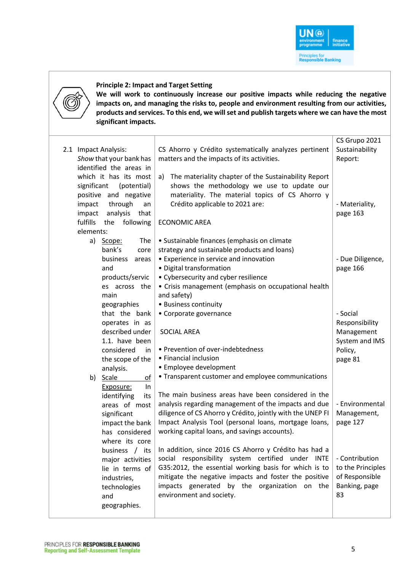



#### **Principle 2: Impact and Target Setting**

**We will work to continuously increase our positive impacts while reducing the negative impacts on, and managing the risks to, people and environment resulting from our activities, products and services. To this end, we will set and publish targets where we can have the most significant impacts.**

|                              |                                                            | CS Grupo 2021     |
|------------------------------|------------------------------------------------------------|-------------------|
| 2.1 Impact Analysis:         | CS Ahorro y Crédito systematically analyzes pertinent      | Sustainability    |
| Show that your bank has      | matters and the impacts of its activities.                 | Report:           |
| identified the areas in      |                                                            |                   |
| which it has its most        | The materiality chapter of the Sustainability Report<br>a) |                   |
| significant<br>(potential)   | shows the methodology we use to update our                 |                   |
| positive and negative        | materiality. The material topics of CS Ahorro y            |                   |
| through<br>impact<br>an      | Crédito applicable to 2021 are:                            | - Materiality,    |
| impact<br>analysis<br>that   |                                                            | page 163          |
| fulfills<br>following<br>the | <b>ECONOMIC AREA</b>                                       |                   |
| elements:                    |                                                            |                   |
| a)<br>The<br>Scope:          | • Sustainable finances (emphasis on climate                |                   |
| bank's<br>core               | strategy and sustainable products and loans)               |                   |
| business<br>areas            | • Experience in service and innovation                     | - Due Diligence,  |
| and                          | · Digital transformation                                   | page 166          |
| products/servic              | • Cybersecurity and cyber resilience                       |                   |
| es across the                | • Crisis management (emphasis on occupational health       |                   |
| main                         | and safety)                                                |                   |
| geographies                  | • Business continuity                                      |                   |
| that the bank                | • Corporate governance                                     | - Social          |
| operates in as               |                                                            | Responsibility    |
| described under              | <b>SOCIAL AREA</b>                                         | Management        |
| 1.1. have been               |                                                            | System and IMS    |
| considered<br>in.            | • Prevention of over-indebtedness                          | Policy,           |
| the scope of the             | • Financial inclusion                                      | page 81           |
| analysis.                    | • Employee development                                     |                   |
| Scale<br>of<br>b)            | • Transparent customer and employee communications         |                   |
| In<br>Exposure:              |                                                            |                   |
| identifying<br>its           | The main business areas have been considered in the        |                   |
| areas of most                | analysis regarding management of the impacts and due       | - Environmental   |
| significant                  | diligence of CS Ahorro y Crédito, jointly with the UNEP FI | Management,       |
| impact the bank              | Impact Analysis Tool (personal loans, mortgage loans,      | page 127          |
| has considered               | working capital loans, and savings accounts).              |                   |
| where its core               |                                                            |                   |
| business / its               | In addition, since 2016 CS Ahorro y Crédito has had a      |                   |
| major activities             | social responsibility system certified under INTE          | - Contribution    |
| lie in terms of              | G35:2012, the essential working basis for which is to      | to the Principles |
| industries,                  | mitigate the negative impacts and foster the positive      | of Responsible    |
| technologies                 | impacts generated by the organization on the               | Banking, page     |
| and                          | environment and society.                                   | 83                |
| geographies.                 |                                                            |                   |
|                              |                                                            |                   |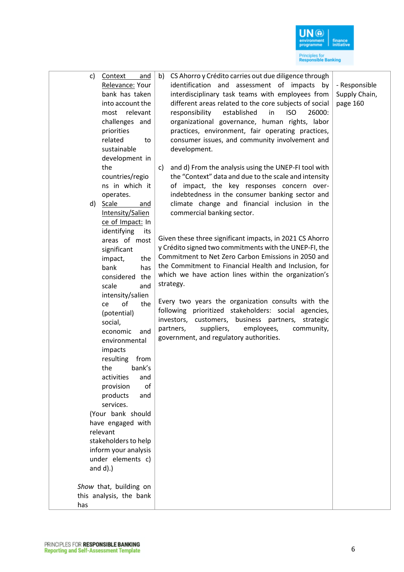

| c)  | Context<br>and<br>Relevance: Your<br>bank has taken<br>into account the<br>relevant<br>most<br>challenges and<br>priorities<br>related<br>to<br>sustainable<br>development in<br>the | CS Ahorro y Crédito carries out due diligence through<br>b)<br>identification and assessment of impacts by<br>interdisciplinary task teams with employees from<br>different areas related to the core subjects of social<br>established<br><b>ISO</b><br>26000:<br>responsibility<br>in<br>organizational governance, human rights, labor<br>practices, environment, fair operating practices,<br>consumer issues, and community involvement and<br>development.<br>and d) From the analysis using the UNEP-FI tool with<br>C) | - Responsible<br>Supply Chain,<br>page 160 |
|-----|--------------------------------------------------------------------------------------------------------------------------------------------------------------------------------------|--------------------------------------------------------------------------------------------------------------------------------------------------------------------------------------------------------------------------------------------------------------------------------------------------------------------------------------------------------------------------------------------------------------------------------------------------------------------------------------------------------------------------------|--------------------------------------------|
|     | countries/regio                                                                                                                                                                      | the "Context" data and due to the scale and intensity                                                                                                                                                                                                                                                                                                                                                                                                                                                                          |                                            |
|     | ns in which it                                                                                                                                                                       | of impact, the key responses concern over-                                                                                                                                                                                                                                                                                                                                                                                                                                                                                     |                                            |
| d)  | operates.<br><b>Scale</b><br>and                                                                                                                                                     | indebtedness in the consumer banking sector and<br>climate change and financial inclusion in the                                                                                                                                                                                                                                                                                                                                                                                                                               |                                            |
|     | Intensity/Salien                                                                                                                                                                     | commercial banking sector.                                                                                                                                                                                                                                                                                                                                                                                                                                                                                                     |                                            |
|     | ce of Impact: In                                                                                                                                                                     |                                                                                                                                                                                                                                                                                                                                                                                                                                                                                                                                |                                            |
|     | identifying<br>its                                                                                                                                                                   | Given these three significant impacts, in 2021 CS Ahorro                                                                                                                                                                                                                                                                                                                                                                                                                                                                       |                                            |
|     | areas of most<br>significant                                                                                                                                                         | y Crédito signed two commitments with the UNEP-FI, the                                                                                                                                                                                                                                                                                                                                                                                                                                                                         |                                            |
|     | the<br>impact,                                                                                                                                                                       | Commitment to Net Zero Carbon Emissions in 2050 and                                                                                                                                                                                                                                                                                                                                                                                                                                                                            |                                            |
|     | bank<br>has                                                                                                                                                                          | the Commitment to Financial Health and Inclusion, for                                                                                                                                                                                                                                                                                                                                                                                                                                                                          |                                            |
|     | considered the                                                                                                                                                                       | which we have action lines within the organization's                                                                                                                                                                                                                                                                                                                                                                                                                                                                           |                                            |
|     | scale<br>and                                                                                                                                                                         | strategy.                                                                                                                                                                                                                                                                                                                                                                                                                                                                                                                      |                                            |
|     | intensity/salien<br>of<br>the<br>ce                                                                                                                                                  | Every two years the organization consults with the                                                                                                                                                                                                                                                                                                                                                                                                                                                                             |                                            |
|     | (potential)                                                                                                                                                                          | following prioritized stakeholders: social agencies,                                                                                                                                                                                                                                                                                                                                                                                                                                                                           |                                            |
|     | social,                                                                                                                                                                              | investors, customers, business partners,<br>strategic<br>suppliers,<br>employees,<br>community,<br>partners,                                                                                                                                                                                                                                                                                                                                                                                                                   |                                            |
|     | economic<br>and<br>environmental                                                                                                                                                     | government, and regulatory authorities.                                                                                                                                                                                                                                                                                                                                                                                                                                                                                        |                                            |
|     | impacts                                                                                                                                                                              |                                                                                                                                                                                                                                                                                                                                                                                                                                                                                                                                |                                            |
|     | resulting<br>from                                                                                                                                                                    |                                                                                                                                                                                                                                                                                                                                                                                                                                                                                                                                |                                            |
|     | bank's<br>the                                                                                                                                                                        |                                                                                                                                                                                                                                                                                                                                                                                                                                                                                                                                |                                            |
|     | activities<br>and                                                                                                                                                                    |                                                                                                                                                                                                                                                                                                                                                                                                                                                                                                                                |                                            |
|     | of<br>provision<br>products<br>and                                                                                                                                                   |                                                                                                                                                                                                                                                                                                                                                                                                                                                                                                                                |                                            |
|     | services.                                                                                                                                                                            |                                                                                                                                                                                                                                                                                                                                                                                                                                                                                                                                |                                            |
|     | (Your bank should                                                                                                                                                                    |                                                                                                                                                                                                                                                                                                                                                                                                                                                                                                                                |                                            |
|     | have engaged with                                                                                                                                                                    |                                                                                                                                                                                                                                                                                                                                                                                                                                                                                                                                |                                            |
|     | relevant                                                                                                                                                                             |                                                                                                                                                                                                                                                                                                                                                                                                                                                                                                                                |                                            |
|     | stakeholders to help                                                                                                                                                                 |                                                                                                                                                                                                                                                                                                                                                                                                                                                                                                                                |                                            |
|     | inform your analysis<br>under elements c)                                                                                                                                            |                                                                                                                                                                                                                                                                                                                                                                                                                                                                                                                                |                                            |
|     | and $d$ ).)                                                                                                                                                                          |                                                                                                                                                                                                                                                                                                                                                                                                                                                                                                                                |                                            |
|     | Show that, building on                                                                                                                                                               |                                                                                                                                                                                                                                                                                                                                                                                                                                                                                                                                |                                            |
|     | this analysis, the bank                                                                                                                                                              |                                                                                                                                                                                                                                                                                                                                                                                                                                                                                                                                |                                            |
| has |                                                                                                                                                                                      |                                                                                                                                                                                                                                                                                                                                                                                                                                                                                                                                |                                            |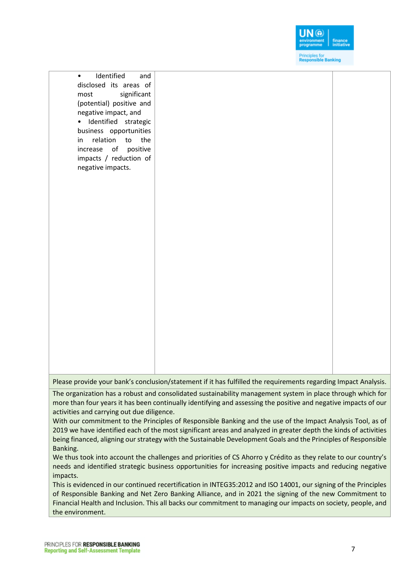

• Identified and disclosed its areas of most significant (potential) positive and negative impact, and • Identified strategic business opportunities in relation to the increase of positive impacts / reduction of negative impacts.

Please provide your bank's conclusion/statement if it has fulfilled the requirements regarding Impact Analysis.

The organization has a robust and consolidated sustainability management system in place through which for more than four years it has been continually identifying and assessing the positive and negative impacts of our activities and carrying out due diligence.

With our commitment to the Principles of Responsible Banking and the use of the Impact Analysis Tool, as of 2019 we have identified each of the most significant areas and analyzed in greater depth the kinds of activities being financed, aligning our strategy with the Sustainable Development Goals and the Principles of Responsible Banking.

We thus took into account the challenges and priorities of CS Ahorro y Crédito as they relate to our country's needs and identified strategic business opportunities for increasing positive impacts and reducing negative impacts.

This is evidenced in our continued recertification in INTEG35:2012 and ISO 14001, our signing of the Principles of Responsible Banking and Net Zero Banking Alliance, and in 2021 the signing of the new Commitment to Financial Health and Inclusion. This all backs our commitment to managing our impacts on society, people, and the environment.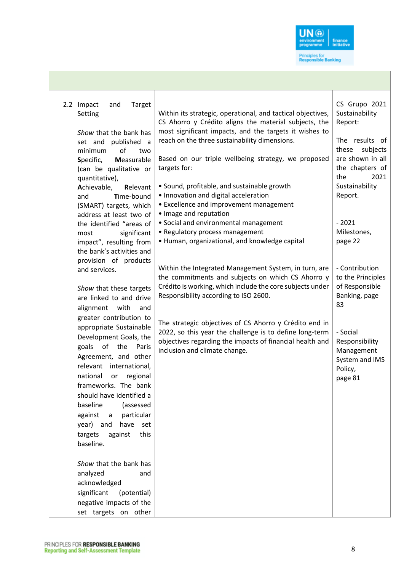

| Target<br>2.2 Impact<br>and<br>Setting<br>Show that the bank has<br>set and published a<br>of<br>minimum<br>two                           | Within its strategic, operational, and tactical objectives,<br>CS Ahorro y Crédito aligns the material subjects, the<br>most significant impacts, and the targets it wishes to<br>reach on the three sustainability dimensions. | CS Grupo 2021<br>Sustainability<br>Report:<br>The results of<br>subjects<br>these |
|-------------------------------------------------------------------------------------------------------------------------------------------|---------------------------------------------------------------------------------------------------------------------------------------------------------------------------------------------------------------------------------|-----------------------------------------------------------------------------------|
| Measurable<br>Specific,<br>(can be qualitative or<br>quantitative),<br>Achievable,<br>Relevant<br>Time-bound<br>and                       | Based on our triple wellbeing strategy, we proposed<br>targets for:<br>• Sound, profitable, and sustainable growth<br>• Innovation and digital acceleration                                                                     | are shown in all<br>the chapters of<br>2021<br>the<br>Sustainability<br>Report.   |
| (SMART) targets, which<br>address at least two of<br>the identified "areas of<br>significant<br>most<br>impact", resulting from           | • Excellence and improvement management<br>• Image and reputation<br>• Social and environmental management<br>• Regulatory process management<br>• Human, organizational, and knowledge capital                                 | $-2021$<br>Milestones,<br>page 22                                                 |
| the bank's activities and<br>provision of products<br>and services.<br>Show that these targets                                            | Within the Integrated Management System, in turn, are<br>the commitments and subjects on which CS Ahorro y<br>Crédito is working, which include the core subjects under                                                         | - Contribution<br>to the Principles<br>of Responsible                             |
| are linked to and drive<br>alignment<br>with<br>and<br>greater contribution to<br>appropriate Sustainable                                 | Responsibility according to ISO 2600.<br>The strategic objectives of CS Ahorro y Crédito end in<br>2022, so this year the challenge is to define long-term                                                                      | Banking, page<br>83<br>- Social                                                   |
| Development Goals, the<br>of<br>the<br>goals<br>Paris<br>Agreement, and other<br>international,<br>relevant<br>national<br>regional<br>or | objectives regarding the impacts of financial health and<br>inclusion and climate change.                                                                                                                                       | Responsibility<br>Management<br>System and IMS<br>Policy,<br>page 81              |
| frameworks. The bank<br>should have identified a<br>baseline<br>(assessed<br>against<br>particular<br>a                                   |                                                                                                                                                                                                                                 |                                                                                   |
| have set<br>year) and<br>this<br>targets<br>against<br>baseline.<br>Show that the bank has                                                |                                                                                                                                                                                                                                 |                                                                                   |
| analyzed<br>and<br>acknowledged<br>significant<br>(potential)<br>negative impacts of the                                                  |                                                                                                                                                                                                                                 |                                                                                   |
| set targets on other                                                                                                                      |                                                                                                                                                                                                                                 |                                                                                   |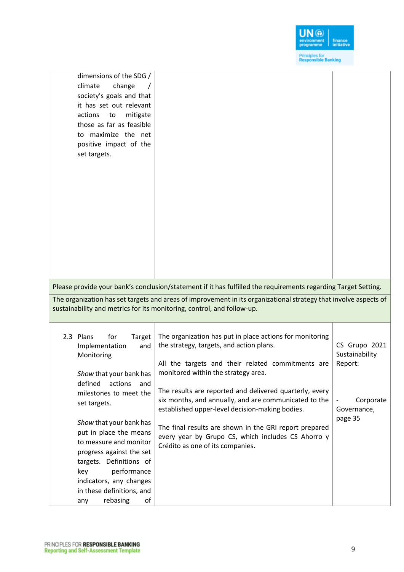

| dimensions of the SDG /<br>climate<br>change<br>society's goals and that<br>it has set out relevant<br>actions<br>mitigate<br>to<br>those as far as feasible<br>to maximize the net<br>positive impact of the<br>set targets.                                                                                                                                                                                    | Please provide your bank's conclusion/statement if it has fulfilled the requirements regarding Target Setting.<br>The organization has set targets and areas of improvement in its organizational strategy that involve aspects of<br>sustainability and metrics for its monitoring, control, and follow-up.                                                                                                                                                                                                                |                                                                                   |
|------------------------------------------------------------------------------------------------------------------------------------------------------------------------------------------------------------------------------------------------------------------------------------------------------------------------------------------------------------------------------------------------------------------|-----------------------------------------------------------------------------------------------------------------------------------------------------------------------------------------------------------------------------------------------------------------------------------------------------------------------------------------------------------------------------------------------------------------------------------------------------------------------------------------------------------------------------|-----------------------------------------------------------------------------------|
| 2.3 Plans<br>for<br>Target<br>Implementation<br>and<br>Monitoring<br>Show that your bank has<br>defined<br>actions<br>and<br>milestones to meet the<br>set targets.<br>Show that your bank has<br>put in place the means<br>to measure and monitor<br>progress against the set<br>targets. Definitions of<br>performance<br>key<br>indicators, any changes<br>in these definitions, and<br>rebasing<br>of<br>any | The organization has put in place actions for monitoring<br>the strategy, targets, and action plans.<br>All the targets and their related commitments are<br>monitored within the strategy area.<br>The results are reported and delivered quarterly, every<br>six months, and annually, and are communicated to the<br>established upper-level decision-making bodies.<br>The final results are shown in the GRI report prepared<br>every year by Grupo CS, which includes CS Ahorro y<br>Crédito as one of its companies. | CS Grupo 2021<br>Sustainability<br>Report:<br>Corporate<br>Governance,<br>page 35 |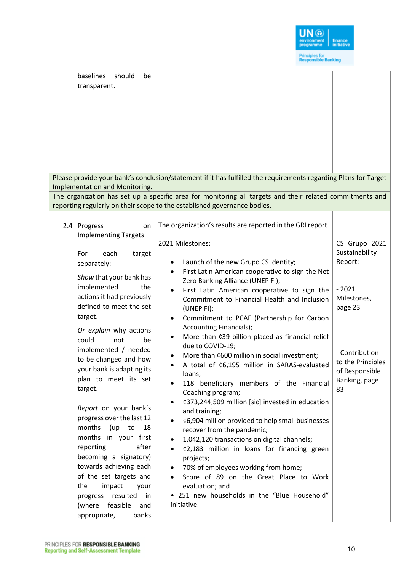

| baselines<br>should<br>be<br>transparent.<br>Implementation and Monitoring.                                                                                                                                                                                                                                                                                                                                                                                                                                                                                                                                                                                             | Please provide your bank's conclusion/statement if it has fulfilled the requirements regarding Plans for Target<br>The organization has set up a specific area for monitoring all targets and their related commitments and<br>reporting regularly on their scope to the established governance bodies.                                                                                                                                                                                                                                                                                                                                                                                                                                                                                                                                                                                                                                                                                                                                                                                                         |                                                                                                                                                                 |
|-------------------------------------------------------------------------------------------------------------------------------------------------------------------------------------------------------------------------------------------------------------------------------------------------------------------------------------------------------------------------------------------------------------------------------------------------------------------------------------------------------------------------------------------------------------------------------------------------------------------------------------------------------------------------|-----------------------------------------------------------------------------------------------------------------------------------------------------------------------------------------------------------------------------------------------------------------------------------------------------------------------------------------------------------------------------------------------------------------------------------------------------------------------------------------------------------------------------------------------------------------------------------------------------------------------------------------------------------------------------------------------------------------------------------------------------------------------------------------------------------------------------------------------------------------------------------------------------------------------------------------------------------------------------------------------------------------------------------------------------------------------------------------------------------------|-----------------------------------------------------------------------------------------------------------------------------------------------------------------|
| 2.4 Progress<br>on<br><b>Implementing Targets</b><br>For<br>each<br>target<br>separately:<br>Show that your bank has<br>implemented<br>the<br>actions it had previously<br>defined to meet the set<br>target.<br>Or explain why actions<br>could<br>not<br>be<br>implemented / needed<br>to be changed and how<br>your bank is adapting its<br>plan to meet its set<br>target.<br>Report on your bank's<br>progress over the last 12<br>months (up to<br>18<br>months in your first<br>after<br>reporting<br>becoming a signatory)<br>towards achieving each<br>of the set targets and<br>the<br>impact<br>your<br>resulted<br>progress<br>in<br>(where feasible<br>and | The organization's results are reported in the GRI report.<br>2021 Milestones:<br>Launch of the new Grupo CS identity;<br>First Latin American cooperative to sign the Net<br>Zero Banking Alliance (UNEP FI);<br>First Latin American cooperative to sign the<br>Commitment to Financial Health and Inclusion<br>(UNEP FI);<br>Commitment to PCAF (Partnership for Carbon<br>$\bullet$<br>Accounting Financials);<br>More than ¢39 billion placed as financial relief<br>٠<br>due to COVID-19;<br>More than ¢600 million in social investment;<br>A total of ¢6,195 million in SARAS-evaluated<br>loans;<br>118 beneficiary members of the Financial<br>Coaching program;<br>¢373,244,509 million [sic] invested in education<br>and training;<br>¢6,904 million provided to help small businesses<br>recover from the pandemic;<br>1,042,120 transactions on digital channels;<br>¢2,183 million in loans for financing green<br>projects;<br>70% of employees working from home;<br>Score of 89 on the Great Place to Work<br>evaluation; and<br>• 251 new households in the "Blue Household"<br>initiative. | CS Grupo 2021<br>Sustainability<br>Report:<br>$-2021$<br>Milestones,<br>page 23<br>- Contribution<br>to the Principles<br>of Responsible<br>Banking, page<br>83 |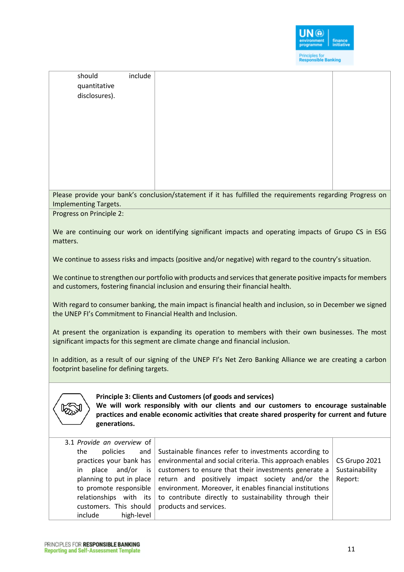

| should<br>include<br>quantitative<br>disclosures).                                                                                                                                                                                                                  |                                                                                                                                                                                                                                                                                                                                                                                |                                            |
|---------------------------------------------------------------------------------------------------------------------------------------------------------------------------------------------------------------------------------------------------------------------|--------------------------------------------------------------------------------------------------------------------------------------------------------------------------------------------------------------------------------------------------------------------------------------------------------------------------------------------------------------------------------|--------------------------------------------|
|                                                                                                                                                                                                                                                                     |                                                                                                                                                                                                                                                                                                                                                                                |                                            |
|                                                                                                                                                                                                                                                                     |                                                                                                                                                                                                                                                                                                                                                                                |                                            |
|                                                                                                                                                                                                                                                                     |                                                                                                                                                                                                                                                                                                                                                                                |                                            |
|                                                                                                                                                                                                                                                                     | Please provide your bank's conclusion/statement if it has fulfilled the requirements regarding Progress on                                                                                                                                                                                                                                                                     |                                            |
| Implementing Targets.                                                                                                                                                                                                                                               |                                                                                                                                                                                                                                                                                                                                                                                |                                            |
| Progress on Principle 2:                                                                                                                                                                                                                                            |                                                                                                                                                                                                                                                                                                                                                                                |                                            |
| matters.                                                                                                                                                                                                                                                            | We are continuing our work on identifying significant impacts and operating impacts of Grupo CS in ESG                                                                                                                                                                                                                                                                         |                                            |
|                                                                                                                                                                                                                                                                     | We continue to assess risks and impacts (positive and/or negative) with regard to the country's situation.                                                                                                                                                                                                                                                                     |                                            |
|                                                                                                                                                                                                                                                                     | We continue to strengthen our portfolio with products and services that generate positive impacts for members<br>and customers, fostering financial inclusion and ensuring their financial health.                                                                                                                                                                             |                                            |
|                                                                                                                                                                                                                                                                     | With regard to consumer banking, the main impact is financial health and inclusion, so in December we signed<br>the UNEP FI's Commitment to Financial Health and Inclusion.                                                                                                                                                                                                    |                                            |
|                                                                                                                                                                                                                                                                     | At present the organization is expanding its operation to members with their own businesses. The most<br>significant impacts for this segment are climate change and financial inclusion.                                                                                                                                                                                      |                                            |
| footprint baseline for defining targets.                                                                                                                                                                                                                            | In addition, as a result of our signing of the UNEP FI's Net Zero Banking Alliance we are creating a carbon                                                                                                                                                                                                                                                                    |                                            |
| Principle 3: Clients and Customers (of goods and services)<br>We will work responsibly with our clients and our customers to encourage sustainable<br>practices and enable economic activities that create shared prosperity for current and future<br>generations. |                                                                                                                                                                                                                                                                                                                                                                                |                                            |
| 3.1 Provide an overview of<br>policies<br>the<br>and<br>practices your bank has<br>and/or<br>place<br>in<br>is<br>planning to put in place<br>to promote responsible<br>relationships with its<br>customers. This should<br>include<br>high-level                   | Sustainable finances refer to investments according to<br>environmental and social criteria. This approach enables<br>customers to ensure that their investments generate a<br>return and positively impact society and/or the<br>environment. Moreover, it enables financial institutions<br>to contribute directly to sustainability through their<br>products and services. | CS Grupo 2021<br>Sustainability<br>Report: |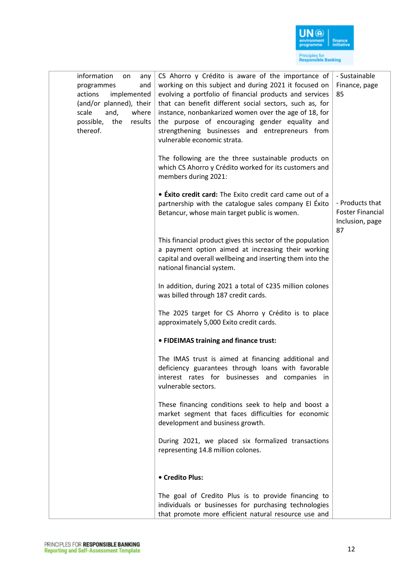

| information<br>any<br>on<br>and<br>programmes<br>implemented<br>actions<br>(and/or planned), their<br>scale<br>and,<br>where<br>possible,<br>the<br>results<br>thereof. | CS Ahorro y Crédito is aware of the importance of<br>working on this subject and during 2021 it focused on<br>evolving a portfolio of financial products and services<br>that can benefit different social sectors, such as, for<br>instance, nonbankarized women over the age of 18, for<br>the purpose of encouraging gender equality and<br>strengthening businesses and entrepreneurs from<br>vulnerable economic strata. | - Sustainable<br>Finance, page<br>85                                |
|-------------------------------------------------------------------------------------------------------------------------------------------------------------------------|-------------------------------------------------------------------------------------------------------------------------------------------------------------------------------------------------------------------------------------------------------------------------------------------------------------------------------------------------------------------------------------------------------------------------------|---------------------------------------------------------------------|
|                                                                                                                                                                         | The following are the three sustainable products on<br>which CS Ahorro y Crédito worked for its customers and<br>members during 2021:                                                                                                                                                                                                                                                                                         |                                                                     |
|                                                                                                                                                                         | • Exito credit card: The Exito credit card came out of a<br>partnership with the catalogue sales company El Éxito<br>Betancur, whose main target public is women.                                                                                                                                                                                                                                                             | - Products that<br><b>Foster Financial</b><br>Inclusion, page<br>87 |
|                                                                                                                                                                         | This financial product gives this sector of the population<br>a payment option aimed at increasing their working<br>capital and overall wellbeing and inserting them into the<br>national financial system.                                                                                                                                                                                                                   |                                                                     |
|                                                                                                                                                                         | In addition, during 2021 a total of ¢235 million colones<br>was billed through 187 credit cards.                                                                                                                                                                                                                                                                                                                              |                                                                     |
|                                                                                                                                                                         | The 2025 target for CS Ahorro y Crédito is to place<br>approximately 5,000 Exito credit cards.                                                                                                                                                                                                                                                                                                                                |                                                                     |
|                                                                                                                                                                         | • FIDEIMAS training and finance trust:                                                                                                                                                                                                                                                                                                                                                                                        |                                                                     |
|                                                                                                                                                                         | The IMAS trust is aimed at financing additional and<br>deficiency guarantees through loans with favorable<br>interest rates for businesses and companies in<br>vulnerable sectors.                                                                                                                                                                                                                                            |                                                                     |
|                                                                                                                                                                         | These financing conditions seek to help and boost a<br>market segment that faces difficulties for economic<br>development and business growth.                                                                                                                                                                                                                                                                                |                                                                     |
|                                                                                                                                                                         | During 2021, we placed six formalized transactions<br>representing 14.8 million colones.                                                                                                                                                                                                                                                                                                                                      |                                                                     |
|                                                                                                                                                                         | • Credito Plus:                                                                                                                                                                                                                                                                                                                                                                                                               |                                                                     |
|                                                                                                                                                                         | The goal of Credito Plus is to provide financing to<br>individuals or businesses for purchasing technologies<br>that promote more efficient natural resource use and                                                                                                                                                                                                                                                          |                                                                     |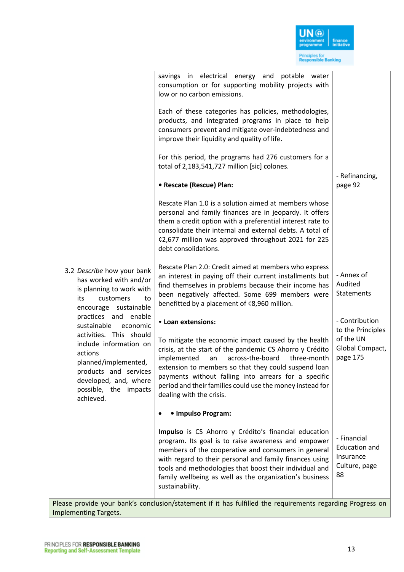

|                                                                                                                                                                                                                                 | savings in electrical energy and potable water<br>consumption or for supporting mobility projects with<br>low or no carbon emissions.                                                                                                                                                                                                                                                                   |                                                                                 |
|---------------------------------------------------------------------------------------------------------------------------------------------------------------------------------------------------------------------------------|---------------------------------------------------------------------------------------------------------------------------------------------------------------------------------------------------------------------------------------------------------------------------------------------------------------------------------------------------------------------------------------------------------|---------------------------------------------------------------------------------|
|                                                                                                                                                                                                                                 | Each of these categories has policies, methodologies,<br>products, and integrated programs in place to help<br>consumers prevent and mitigate over-indebtedness and<br>improve their liquidity and quality of life.                                                                                                                                                                                     |                                                                                 |
|                                                                                                                                                                                                                                 | For this period, the programs had 276 customers for a<br>total of 2,183,541,727 million [sic] colones.                                                                                                                                                                                                                                                                                                  |                                                                                 |
|                                                                                                                                                                                                                                 | • Rescate (Rescue) Plan:                                                                                                                                                                                                                                                                                                                                                                                | - Refinancing,<br>page 92                                                       |
|                                                                                                                                                                                                                                 | Rescate Plan 1.0 is a solution aimed at members whose<br>personal and family finances are in jeopardy. It offers<br>them a credit option with a preferential interest rate to<br>consolidate their internal and external debts. A total of<br>¢2,677 million was approved throughout 2021 for 225<br>debt consolidations.                                                                               |                                                                                 |
| 3.2 Describe how your bank<br>has worked with and/or<br>is planning to work with<br>its<br>customers<br>to<br>encourage sustainable                                                                                             | Rescate Plan 2.0: Credit aimed at members who express<br>an interest in paying off their current installments but<br>find themselves in problems because their income has<br>been negatively affected. Some 699 members were<br>benefitted by a placement of ¢8,960 million.                                                                                                                            | - Annex of<br>Audited<br>Statements                                             |
| practices and enable<br>sustainable<br>economic<br>activities. This should<br>include information on<br>actions<br>planned/implemented,<br>products and services<br>developed, and, where<br>possible, the impacts<br>achieved. | • Loan extensions:<br>To mitigate the economic impact caused by the health<br>crisis, at the start of the pandemic CS Ahorro y Crédito<br>implemented<br>across-the-board<br>an<br>three-month<br>extension to members so that they could suspend loan<br>payments without falling into arrears for a specific<br>period and their families could use the money instead for<br>dealing with the crisis. | - Contribution<br>to the Principles<br>of the UN<br>Global Compact,<br>page 175 |
|                                                                                                                                                                                                                                 | • Impulso Program:                                                                                                                                                                                                                                                                                                                                                                                      |                                                                                 |
|                                                                                                                                                                                                                                 | Impulso is CS Ahorro y Crédito's financial education<br>program. Its goal is to raise awareness and empower<br>members of the cooperative and consumers in general<br>with regard to their personal and family finances using<br>tools and methodologies that boost their individual and<br>family wellbeing as well as the organization's business<br>sustainability.                                  | - Financial<br><b>Education and</b><br>Insurance<br>Culture, page<br>88         |
|                                                                                                                                                                                                                                 | Please provide your bank's conclusion/statement if it has fulfilled the requirements regarding Progress on                                                                                                                                                                                                                                                                                              |                                                                                 |

Implementing Targets.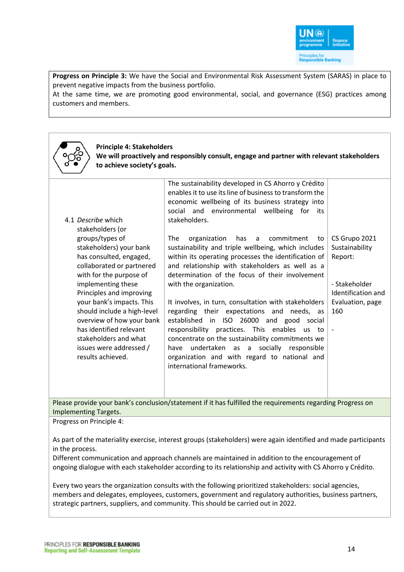

**Progress on Principle 3:** We have the Social and Environmental Risk Assessment System (SARAS) in place to prevent negative impacts from the business portfolio.

At the same time, we are promoting good environmental, social, and governance (ESG) practices among customers and members.

| <b>Principle 4: Stakeholders</b><br>to achieve society's goals.                                                                                                                                                                                                                                                                                                                                                        | We will proactively and responsibly consult, engage and partner with relevant stakeholders                                                                                                                                                                                                                                                                                                                                                                                                                                                                                                                                                                                                                                                                                                                                                                                                                                             |                                                                                                                                          |
|------------------------------------------------------------------------------------------------------------------------------------------------------------------------------------------------------------------------------------------------------------------------------------------------------------------------------------------------------------------------------------------------------------------------|----------------------------------------------------------------------------------------------------------------------------------------------------------------------------------------------------------------------------------------------------------------------------------------------------------------------------------------------------------------------------------------------------------------------------------------------------------------------------------------------------------------------------------------------------------------------------------------------------------------------------------------------------------------------------------------------------------------------------------------------------------------------------------------------------------------------------------------------------------------------------------------------------------------------------------------|------------------------------------------------------------------------------------------------------------------------------------------|
| 4.1 Describe which<br>stakeholders (or<br>groups/types of<br>stakeholders) your bank<br>has consulted, engaged,<br>collaborated or partnered<br>with for the purpose of<br>implementing these<br>Principles and improving<br>your bank's impacts. This<br>should include a high-level<br>overview of how your bank<br>has identified relevant<br>stakeholders and what<br>issues were addressed /<br>results achieved. | The sustainability developed in CS Ahorro y Crédito<br>enables it to use its line of business to transform the<br>economic wellbeing of its business strategy into<br>social and environmental wellbeing for<br>its<br>stakeholders.<br>The<br>organization<br>has<br>commitment<br>a<br>to<br>sustainability and triple wellbeing, which includes<br>within its operating processes the identification of<br>and relationship with stakeholders as well as a<br>determination of the focus of their involvement<br>with the organization.<br>It involves, in turn, consultation with stakeholders<br>regarding their expectations and<br>needs, as<br>established in ISO 26000 and good social<br>responsibility practices. This enables<br>us<br>to<br>concentrate on the sustainability commitments we<br>undertaken as a socially responsible<br>have<br>organization and with regard to national and<br>international frameworks. | CS Grupo 2021<br>Sustainability<br>Report:<br>- Stakeholder<br>Identification and<br>Evaluation, page<br>160<br>$\overline{\phantom{a}}$ |

Please provide your bank's conclusion/statement if it has fulfilled the requirements regarding Progress on Implementing Targets.

Progress on Principle 4:

As part of the materiality exercise, interest groups (stakeholders) were again identified and made participants in the process.

Different communication and approach channels are maintained in addition to the encouragement of ongoing dialogue with each stakeholder according to its relationship and activity with CS Ahorro y Crédito.

Every two years the organization consults with the following prioritized stakeholders: social agencies, members and delegates, employees, customers, government and regulatory authorities, business partners, strategic partners, suppliers, and community. This should be carried out in 2022.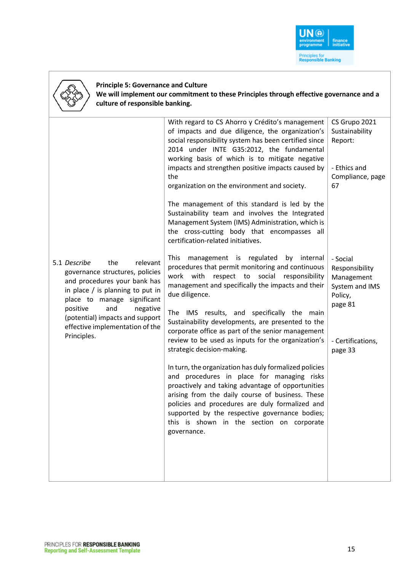

## **Principle 5: Governance and Culture**

**We will implement our commitment to these Principles through effective governance and a culture of responsible banking.**

|                                                                                                                                                                                                                                                                                           | With regard to CS Ahorro y Crédito's management<br>of impacts and due diligence, the organization's<br>social responsibility system has been certified since<br>2014 under INTE G35:2012, the fundamental<br>working basis of which is to mitigate negative<br>impacts and strengthen positive impacts caused by<br>the<br>organization on the environment and society.                                                                                                   | CS Grupo 2021<br>Sustainability<br>Report:<br>- Ethics and<br>Compliance, page<br>67                             |
|-------------------------------------------------------------------------------------------------------------------------------------------------------------------------------------------------------------------------------------------------------------------------------------------|---------------------------------------------------------------------------------------------------------------------------------------------------------------------------------------------------------------------------------------------------------------------------------------------------------------------------------------------------------------------------------------------------------------------------------------------------------------------------|------------------------------------------------------------------------------------------------------------------|
|                                                                                                                                                                                                                                                                                           | The management of this standard is led by the<br>Sustainability team and involves the Integrated<br>Management System (IMS) Administration, which is<br>the cross-cutting body that encompasses all<br>certification-related initiatives.                                                                                                                                                                                                                                 |                                                                                                                  |
| 5.1 Describe<br>the<br>relevant<br>governance structures, policies<br>and procedures your bank has<br>in place / is planning to put in<br>place to manage significant<br>positive<br>and<br>negative<br>(potential) impacts and support<br>effective implementation of the<br>Principles. | This<br>management is regulated<br>by internal<br>procedures that permit monitoring and continuous<br>work with<br>respect to social<br>responsibility<br>management and specifically the impacts and their<br>due diligence.<br>The IMS results, and specifically the main<br>Sustainability developments, are presented to the<br>corporate office as part of the senior management<br>review to be used as inputs for the organization's<br>strategic decision-making. | - Social<br>Responsibility<br>Management<br>System and IMS<br>Policy,<br>page 81<br>- Certifications,<br>page 33 |
|                                                                                                                                                                                                                                                                                           | In turn, the organization has duly formalized policies<br>and procedures in place for managing risks<br>proactively and taking advantage of opportunities<br>arising from the daily course of business. These<br>policies and procedures are duly formalized and<br>supported by the respective governance bodies;<br>this is shown in the section on corporate<br>governance.                                                                                            |                                                                                                                  |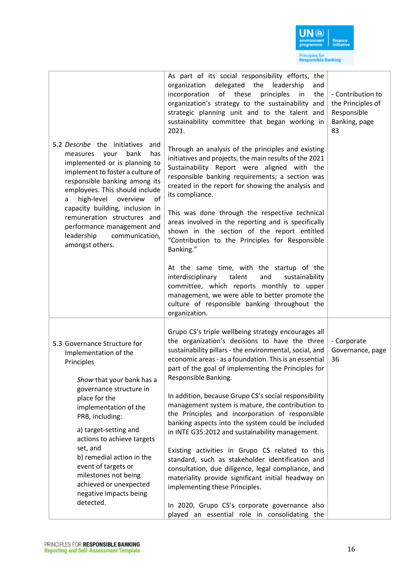

| 5.2 Describe the initiatives and<br>bank<br>has<br>measures<br>your<br>implemented or is planning to<br>implement to foster a culture of<br>responsible banking among its<br>employees. This should include<br>high-level<br>overview<br>of<br>a<br>capacity building, inclusion in<br>remuneration structures and<br>performance management and<br>leadership<br>communication,<br>amongst others.      | As part of its social responsibility efforts, the<br>delegated the<br>leadership<br>organization<br>and<br>incorporation<br>of these<br>principles<br>the<br>in<br>organization's strategy to the sustainability and<br>strategic planning unit and to the talent and<br>sustainability committee that began working in<br>2021.<br>Through an analysis of the principles and existing<br>initiatives and projects, the main results of the 2021<br>Sustainability Report were aligned with the<br>responsible banking requirements; a section was<br>created in the report for showing the analysis and<br>its compliance.<br>This was done through the respective technical<br>areas involved in the reporting and is specifically<br>shown in the section of the report entitled<br>"Contribution to the Principles for Responsible<br>Banking."<br>At the same time, with the startup of the<br>talent<br>interdisciplinary<br>and<br>sustainability<br>committee, which reports monthly to upper<br>management, we were able to better promote the<br>culture of responsible banking throughout the<br>organization. | - Contribution to<br>the Principles of<br>Responsible<br>Banking, page<br>83 |
|----------------------------------------------------------------------------------------------------------------------------------------------------------------------------------------------------------------------------------------------------------------------------------------------------------------------------------------------------------------------------------------------------------|---------------------------------------------------------------------------------------------------------------------------------------------------------------------------------------------------------------------------------------------------------------------------------------------------------------------------------------------------------------------------------------------------------------------------------------------------------------------------------------------------------------------------------------------------------------------------------------------------------------------------------------------------------------------------------------------------------------------------------------------------------------------------------------------------------------------------------------------------------------------------------------------------------------------------------------------------------------------------------------------------------------------------------------------------------------------------------------------------------------------------|------------------------------------------------------------------------------|
| 5.3 Governance Structure for<br>Implementation of the<br>Principles<br>Show that your bank has a<br>governance structure in<br>place for the<br>implementation of the<br>PRB, including:<br>a) target-setting and<br>actions to achieve targets<br>set, and<br>b) remedial action in the<br>event of targets or<br>milestones not being<br>achieved or unexpected<br>negative impacts being<br>detected. | Grupo CS's triple wellbeing strategy encourages all<br>the organization's decisions to have the three<br>sustainability pillars - the environmental, social, and<br>economic areas - as a foundation. This is an essential<br>part of the goal of implementing the Principles for<br>Responsible Banking.<br>In addition, because Grupo CS's social responsibility<br>management system is mature, the contribution to<br>the Principles and incorporation of responsible<br>banking aspects into the system could be included<br>in INTE G35:2012 and sustainability management.<br>Existing activities in Grupo CS related to this<br>standard, such as stakeholder identification and<br>consultation, due diligence, legal compliance, and<br>materiality provide significant initial headway on<br>implementing these Principles.<br>In 2020, Grupo CS's corporate governance also<br>played an essential role in consolidating the                                                                                                                                                                                  | - Corporate<br>Governance, page<br>36                                        |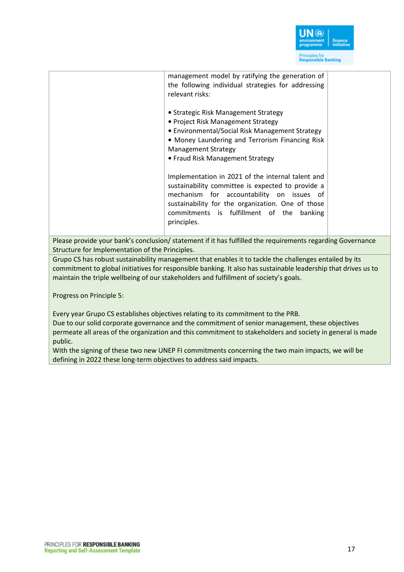

| management model by ratifying the generation of<br>the following individual strategies for addressing<br>relevant risks:                                                                                                                                                |  |
|-------------------------------------------------------------------------------------------------------------------------------------------------------------------------------------------------------------------------------------------------------------------------|--|
| • Strategic Risk Management Strategy<br>• Project Risk Management Strategy<br>• Environmental/Social Risk Management Strategy<br>• Money Laundering and Terrorism Financing Risk<br><b>Management Strategy</b><br>• Fraud Risk Management Strategy                      |  |
| Implementation in 2021 of the internal talent and<br>sustainability committee is expected to provide a<br>mechanism for accountability on issues of<br>sustainability for the organization. One of those<br>commitments is fulfillment of the<br>banking<br>principles. |  |
|                                                                                                                                                                                                                                                                         |  |

Please provide your bank's conclusion/ statement if it has fulfilled the requirements regarding Governance Structure for Implementation of the Principles.

Grupo CS has robust sustainability management that enables it to tackle the challenges entailed by its commitment to global initiatives for responsible banking. It also has sustainable leadership that drives us to maintain the triple wellbeing of our stakeholders and fulfillment of society's goals.

Progress on Principle 5:

Every year Grupo CS establishes objectives relating to its commitment to the PRB.

Due to our solid corporate governance and the commitment of senior management, these objectives permeate all areas of the organization and this commitment to stakeholders and society in general is made public.

With the signing of these two new UNEP FI commitments concerning the two main impacts, we will be defining in 2022 these long-term objectives to address said impacts.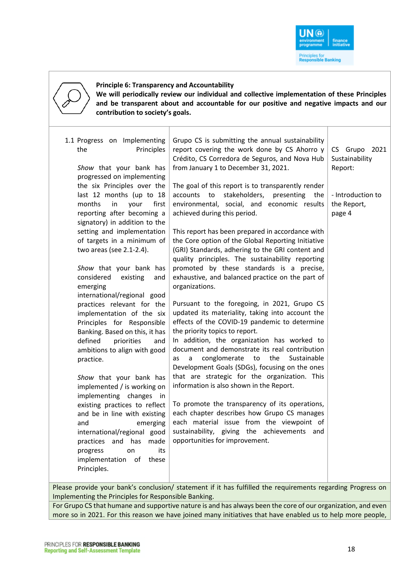

| <b>Principle 6: Transparency and Accountability</b><br>We will periodically review our individual and collective implementation of these Principles<br>and be transparent about and accountable for our positive and negative impacts and our<br>contribution to society's goals.                                                                                                                                                                                                                                                                                                                                                                                                                                                                                                                                                                                                                                                                                                    |                                                                                                                                                                                                                                                                                                                                                                                                                                                                                                                                                                                                                                                                                                                                                                                                                                                                                                                                                                                                                                                                                                                                                                                                                                                                                                                                                                                                                                                     |                                                                                          |
|--------------------------------------------------------------------------------------------------------------------------------------------------------------------------------------------------------------------------------------------------------------------------------------------------------------------------------------------------------------------------------------------------------------------------------------------------------------------------------------------------------------------------------------------------------------------------------------------------------------------------------------------------------------------------------------------------------------------------------------------------------------------------------------------------------------------------------------------------------------------------------------------------------------------------------------------------------------------------------------|-----------------------------------------------------------------------------------------------------------------------------------------------------------------------------------------------------------------------------------------------------------------------------------------------------------------------------------------------------------------------------------------------------------------------------------------------------------------------------------------------------------------------------------------------------------------------------------------------------------------------------------------------------------------------------------------------------------------------------------------------------------------------------------------------------------------------------------------------------------------------------------------------------------------------------------------------------------------------------------------------------------------------------------------------------------------------------------------------------------------------------------------------------------------------------------------------------------------------------------------------------------------------------------------------------------------------------------------------------------------------------------------------------------------------------------------------------|------------------------------------------------------------------------------------------|
| 1.1 Progress on Implementing<br>the<br>Principles<br>Show that your bank has<br>progressed on implementing<br>the six Principles over the<br>last 12 months (up to 18<br>months<br>in<br>your<br>first<br>reporting after becoming a<br>signatory) in addition to the<br>setting and implementation<br>of targets in a minimum of<br>two areas (see 2.1-2.4).<br>Show that your bank has<br>considered<br>existing<br>and<br>emerging<br>international/regional good<br>practices relevant for the<br>implementation of the six<br>Principles for Responsible<br>Banking. Based on this, it has<br>defined<br>priorities<br>and<br>ambitions to align with good<br>practice.<br>Show that your bank has<br>implemented / is working on<br>implementing changes in<br>existing practices to reflect<br>and be in line with existing<br>emerging<br>and<br>international/regional good<br>practices and has<br>made<br>its<br>progress<br>on<br>implementation of these<br>Principles. | Grupo CS is submitting the annual sustainability<br>report covering the work done by CS Ahorro y<br>Crédito, CS Corredora de Seguros, and Nova Hub<br>from January 1 to December 31, 2021.<br>The goal of this report is to transparently render<br>stakeholders, presenting<br>accounts to<br>the<br>environmental, social, and economic results<br>achieved during this period.<br>This report has been prepared in accordance with<br>the Core option of the Global Reporting Initiative<br>(GRI) Standards, adhering to the GRI content and<br>quality principles. The sustainability reporting<br>promoted by these standards is a precise,<br>exhaustive, and balanced practice on the part of<br>organizations.<br>Pursuant to the foregoing, in 2021, Grupo CS<br>updated its materiality, taking into account the<br>effects of the COVID-19 pandemic to determine<br>the priority topics to report.<br>In addition, the organization has worked to<br>document and demonstrate its real contribution<br>conglomerate<br>the<br>Sustainable<br>to<br>as<br>a<br>Development Goals (SDGs), focusing on the ones<br>that are strategic for the organization. This<br>information is also shown in the Report.<br>To promote the transparency of its operations,<br>each chapter describes how Grupo CS manages<br>each material issue from the viewpoint of<br>sustainability, giving the achievements and<br>opportunities for improvement. | CS Grupo 2021<br>Sustainability<br>Report:<br>- Introduction to<br>the Report,<br>page 4 |

e provide your bank's conclusion/ statement if it has fulfilled the requirements regarding Progress on Implementing the Principles for Responsible Banking.

For Grupo CS that humane and supportive nature is and has always been the core of our organization, and even more so in 2021. For this reason we have joined many initiatives that have enabled us to help more people,